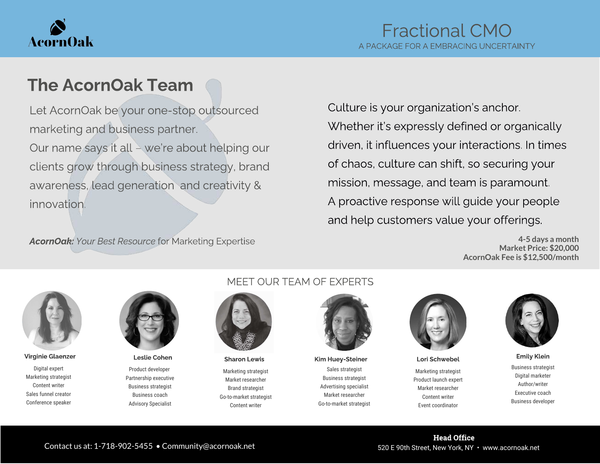

## The AcornOak Team

Let AcornOak be your one-stop outsourced marketing and business partner. Our name says it all – we're about helping our clients grow through business strategy, brand awareness, lead generation and creativity & innovation.

AcornOak: Your Best Resource for Marketing Expertise

Culture is your organization's anchor. Whether it's expressly defined or organically driven, it influences your interactions. In times of chaos, culture can shift, so securing your mission, message, and team is paramount. A proactive response will guide your people and help customers value your offerings.

> **4-5 days a month Market Price: \$20,000 AcornOak Fee is \$12,500/month**



Digital expert Marketing strategist Content writer Sales funnel creator Conference speaker



Product developer Partnership executive Business strategist Business coach Advisory Specialist

#### MEET OUR TEAM OF EXPERTS



Marketing strategist Market researcher Brand strategist Go-to-market strategist Content writer

Sales strategist Business strategist Advertising specialist Market researcher Go-to-market strategist Virginie Glaenzer Leslie Cohen Sharon Lewis Kim Huey-Steiner Lori Schwebel Emily Klein



Marketing strategist Product launch expert Market researcher Content writer Event coordinator



Business strategist Digital marketer Author/writer Executive coach Business developer